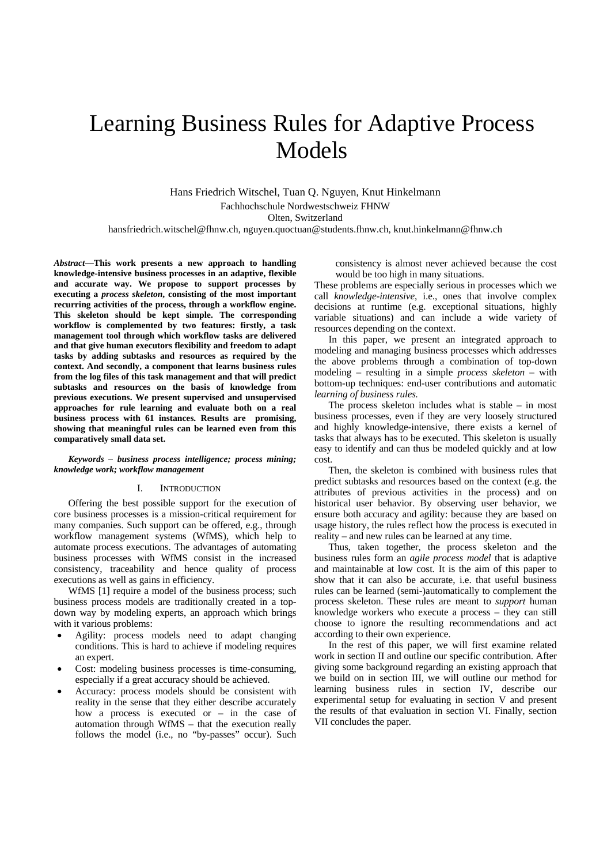# Learning Business Rules for Adaptive Process Models

Hans Friedrich Witschel, Tuan Q. Nguyen, Knut Hinkelmann Fachhochschule Nordwestschweiz FHNW Olten, Switzerland hansfriedrich.witschel@fhnw.ch, nguyen.quoctuan@students.fhnw.ch, knut.hinkelmann@fhnw.ch

*Abstract***—This work presents a new approach to handling knowledge-intensive business processes in an adaptive, flexible and accurate way. We propose to support processes by executing a** *process skeleton***, consisting of the most important recurring activities of the process, through a workflow engine. This skeleton should be kept simple. The corresponding workflow is complemented by two features: firstly, a task management tool through which workflow tasks are delivered and that give human executors flexibility and freedom to adapt tasks by adding subtasks and resources as required by the context. And secondly, a component that learns business rules from the log files of this task management and that will predict subtasks and resources on the basis of knowledge from previous executions. We present supervised and unsupervised approaches for rule learning and evaluate both on a real business process with 61 instances. Results are promising, showing that meaningful rules can be learned even from this comparatively small data set.** 

*Keywords – business process intelligence; process mining; knowledge work; workflow management* 

#### I. INTRODUCTION

Offering the best possible support for the execution of core business processes is a mission-critical requirement for many companies. Such support can be offered, e.g., through workflow management systems (WfMS), which help to automate process executions. The advantages of automating business processes with WfMS consist in the increased consistency, traceability and hence quality of process executions as well as gains in efficiency.

WfMS [1] require a model of the business process; such business process models are traditionally created in a topdown way by modeling experts, an approach which brings with it various problems:

- Agility: process models need to adapt changing conditions. This is hard to achieve if modeling requires an expert.
- Cost: modeling business processes is time-consuming, especially if a great accuracy should be achieved.
- Accuracy: process models should be consistent with reality in the sense that they either describe accurately how a process is executed or – in the case of automation through WfMS – that the execution really follows the model (i.e., no "by-passes" occur). Such

consistency is almost never achieved because the cost would be too high in many situations.

These problems are especially serious in processes which we call *knowledge-intensive*, i.e., ones that involve complex decisions at runtime (e.g. exceptional situations, highly variable situations) and can include a wide variety of resources depending on the context.

In this paper, we present an integrated approach to modeling and managing business processes which addresses the above problems through a combination of top-down modeling – resulting in a simple *process skeleton* – with bottom-up techniques: end-user contributions and automatic *learning of business rules.*

The process skeleton includes what is stable  $-$  in most business processes, even if they are very loosely structured and highly knowledge-intensive, there exists a kernel of tasks that always has to be executed. This skeleton is usually easy to identify and can thus be modeled quickly and at low cost.

Then, the skeleton is combined with business rules that predict subtasks and resources based on the context (e.g. the attributes of previous activities in the process) and on historical user behavior. By observing user behavior, we ensure both accuracy and agility: because they are based on usage history, the rules reflect how the process is executed in reality – and new rules can be learned at any time.

Thus, taken together, the process skeleton and the business rules form an *agile process model* that is adaptive and maintainable at low cost. It is the aim of this paper to show that it can also be accurate, i.e. that useful business rules can be learned (semi-)automatically to complement the process skeleton. These rules are meant to *support* human knowledge workers who execute a process – they can still choose to ignore the resulting recommendations and act according to their own experience.

In the rest of this paper, we will first examine related work in section II and outline our specific contribution. After giving some background regarding an existing approach that we build on in section III, we will outline our method for learning business rules in section IV, describe our experimental setup for evaluating in section V and present the results of that evaluation in section VI. Finally, section VII concludes the paper.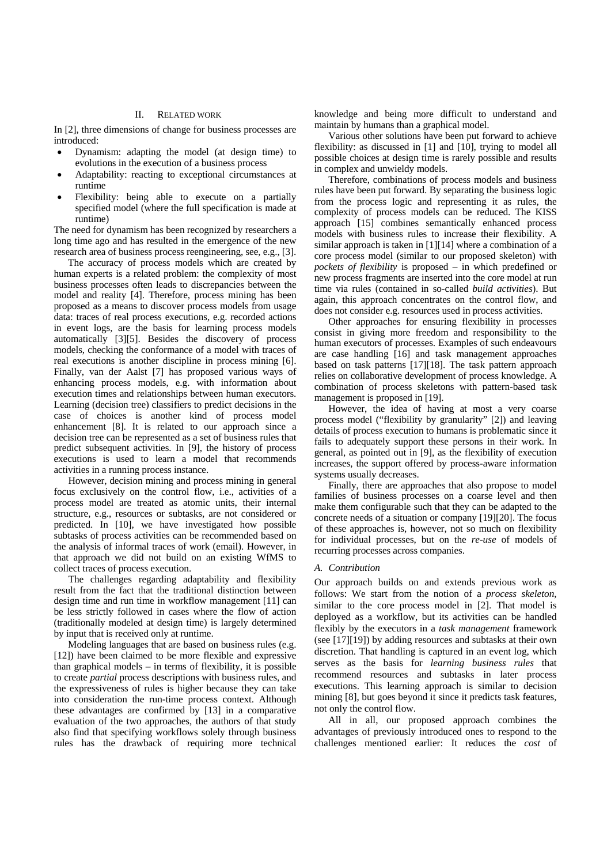## II. RELATED WORK

In [2], three dimensions of change for business processes are introduced:

- Dynamism: adapting the model (at design time) to evolutions in the execution of a business process
- Adaptability: reacting to exceptional circumstances at runtime
- Flexibility: being able to execute on a partially specified model (where the full specification is made at runtime)

The need for dynamism has been recognized by researchers a long time ago and has resulted in the emergence of the new research area of business process reengineering, see, e.g., [3].

The accuracy of process models which are created by human experts is a related problem: the complexity of most business processes often leads to discrepancies between the model and reality [4]. Therefore, process mining has been proposed as a means to discover process models from usage data: traces of real process executions, e.g. recorded actions in event logs, are the basis for learning process models automatically [3][5]. Besides the discovery of process models, checking the conformance of a model with traces of real executions is another discipline in process mining [6]. Finally, van der Aalst [7] has proposed various ways of enhancing process models, e.g. with information about execution times and relationships between human executors. Learning (decision tree) classifiers to predict decisions in the case of choices is another kind of process model enhancement [8]. It is related to our approach since a decision tree can be represented as a set of business rules that predict subsequent activities. In [9], the history of process executions is used to learn a model that recommends activities in a running process instance.

However, decision mining and process mining in general focus exclusively on the control flow, i.e., activities of a process model are treated as atomic units, their internal structure, e.g., resources or subtasks, are not considered or predicted. In [10], we have investigated how possible subtasks of process activities can be recommended based on the analysis of informal traces of work (email). However, in that approach we did not build on an existing WfMS to collect traces of process execution.

The challenges regarding adaptability and flexibility result from the fact that the traditional distinction between design time and run time in workflow management [11] can be less strictly followed in cases where the flow of action (traditionally modeled at design time) is largely determined by input that is received only at runtime.

Modeling languages that are based on business rules (e.g. [12]) have been claimed to be more flexible and expressive than graphical models – in terms of flexibility, it is possible to create *partial* process descriptions with business rules, and the expressiveness of rules is higher because they can take into consideration the run-time process context. Although these advantages are confirmed by [13] in a comparative evaluation of the two approaches, the authors of that study also find that specifying workflows solely through business rules has the drawback of requiring more technical

knowledge and being more difficult to understand and maintain by humans than a graphical model.

Various other solutions have been put forward to achieve flexibility: as discussed in [1] and [10], trying to model all possible choices at design time is rarely possible and results in complex and unwieldy models.

Therefore, combinations of process models and business rules have been put forward. By separating the business logic from the process logic and representing it as rules, the complexity of process models can be reduced. The KISS approach [15] combines semantically enhanced process models with business rules to increase their flexibility. A similar approach is taken in [1][14] where a combination of a core process model (similar to our proposed skeleton) with *pockets of flexibility* is proposed – in which predefined or new process fragments are inserted into the core model at run time via rules (contained in so-called *build activities*). But again, this approach concentrates on the control flow, and does not consider e.g. resources used in process activities.

Other approaches for ensuring flexibility in processes consist in giving more freedom and responsibility to the human executors of processes. Examples of such endeavours are case handling [16] and task management approaches based on task patterns [17][18]. The task pattern approach relies on collaborative development of process knowledge. A combination of process skeletons with pattern-based task management is proposed in [19].

However, the idea of having at most a very coarse process model ("flexibility by granularity" [2]) and leaving details of process execution to humans is problematic since it fails to adequately support these persons in their work. In general, as pointed out in [9], as the flexibility of execution increases, the support offered by process-aware information systems usually decreases.

Finally, there are approaches that also propose to model families of business processes on a coarse level and then make them configurable such that they can be adapted to the concrete needs of a situation or company [19][20]. The focus of these approaches is, however, not so much on flexibility for individual processes, but on the *re-use* of models of recurring processes across companies.

# *A. Contribution*

Our approach builds on and extends previous work as follows: We start from the notion of a *process skeleton*, similar to the core process model in [2]. That model is deployed as a workflow, but its activities can be handled flexibly by the executors in a *task management* framework (see [17][19]) by adding resources and subtasks at their own discretion. That handling is captured in an event log, which serves as the basis for *learning business rules* that recommend resources and subtasks in later process executions. This learning approach is similar to decision mining [8], but goes beyond it since it predicts task features, not only the control flow.

All in all, our proposed approach combines the advantages of previously introduced ones to respond to the challenges mentioned earlier: It reduces the *cost* of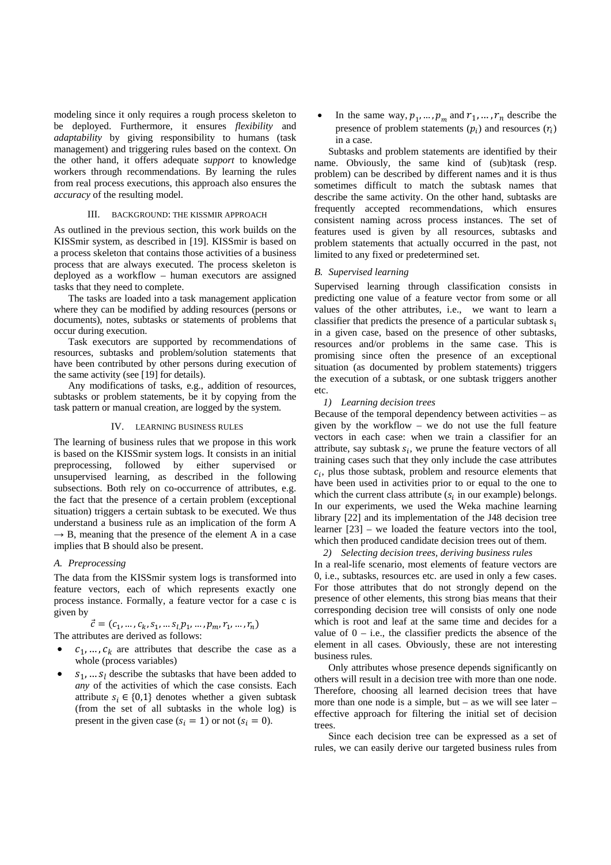modeling since it only requires a rough process skeleton to be deployed. Furthermore, it ensures *flexibility* and *adaptability* by giving responsibility to humans (task management) and triggering rules based on the context. On the other hand, it offers adequate *support* to knowledge workers through recommendations. By learning the rules from real process executions, this approach also ensures the *accuracy* of the resulting model.

#### III. BACKGROUND: THE KISSMIR APPROACH

As outlined in the previous section, this work builds on the KISSmir system, as described in [19]. KISSmir is based on a process skeleton that contains those activities of a business process that are always executed. The process skeleton is deployed as a workflow – human executors are assigned tasks that they need to complete.

The tasks are loaded into a task management application where they can be modified by adding resources (persons or documents), notes, subtasks or statements of problems that occur during execution.

Task executors are supported by recommendations of resources, subtasks and problem/solution statements that have been contributed by other persons during execution of the same activity (see [19] for details).

Any modifications of tasks, e.g., addition of resources, subtasks or problem statements, be it by copying from the task pattern or manual creation, are logged by the system.

## IV. LEARNING BUSINESS RULES

The learning of business rules that we propose in this work is based on the KISSmir system logs. It consists in an initial preprocessing, followed by either supervised or unsupervised learning, as described in the following subsections. Both rely on co-occurrence of attributes, e.g. the fact that the presence of a certain problem (exceptional situation) triggers a certain subtask to be executed. We thus understand a business rule as an implication of the form A  $\rightarrow$  B, meaning that the presence of the element A in a case implies that B should also be present.

#### *A. Preprocessing*

The data from the KISSmir system logs is transformed into feature vectors, each of which represents exactly one process instance. Formally, a feature vector for a case c is given by

$$
\vec{c} = (c_1, \dots, c_k, s_1, \dots s_l, p_1, \dots, p_m, r_1, \dots, r_n)
$$
  
tributes are derived as follows:

- The at
- $c_1, ..., c_k$  are attributes that describe the case as a whole (process variables)
- $S_1$ , ...  $S_l$  describe the subtasks that have been added to *any* of the activities of which the case consists. Each attribute  $s_i \in \{0,1\}$  denotes whether a given subtask (from the set of all subtasks in the whole log) is present in the given case  $(s_i = 1)$  or not  $(s_i = 0)$ .

In the same way,  $p_1, ..., p_m$  and  $r_1, ..., r_n$  describe the presence of problem statements  $(p_i)$  and resources  $(r_i)$ in a case.

Subtasks and problem statements are identified by their name. Obviously, the same kind of (sub)task (resp. problem) can be described by different names and it is thus sometimes difficult to match the subtask names that describe the same activity. On the other hand, subtasks are frequently accepted recommendations, which ensures consistent naming across process instances. The set of features used is given by all resources, subtasks and problem statements that actually occurred in the past, not limited to any fixed or predetermined set.

#### *B. Supervised learning*

Supervised learning through classification consists in predicting one value of a feature vector from some or all values of the other attributes, i.e., we want to learn a classifier that predicts the presence of a particular subtask  $s_i$ in a given case, based on the presence of other subtasks, resources and/or problems in the same case. This is promising since often the presence of an exceptional situation (as documented by problem statements) triggers the execution of a subtask, or one subtask triggers another etc.

# *1) Learning decision trees*

Because of the temporal dependency between activities – as given by the workflow – we do not use the full feature vectors in each case: when we train a classifier for an attribute, say subtask  $s_i$ , we prune the feature vectors of all training cases such that they only include the case attributes  $c_i$ , plus those subtask, problem and resource elements that have been used in activities prior to or equal to the one to which the current class attribute  $(s<sub>i</sub>$  in our example) belongs. In our experiments, we used the Weka machine learning library [22] and its implementation of the J48 decision tree learner [23] – we loaded the feature vectors into the tool, which then produced candidate decision trees out of them.

#### *2) Selecting decision trees, deriving business rules*

In a real-life scenario, most elements of feature vectors are 0, i.e., subtasks, resources etc. are used in only a few cases. For those attributes that do not strongly depend on the presence of other elements, this strong bias means that their corresponding decision tree will consists of only one node which is root and leaf at the same time and decides for a value of  $0 - i.e.,$  the classifier predicts the absence of the element in all cases. Obviously, these are not interesting business rules.

Only attributes whose presence depends significantly on others will result in a decision tree with more than one node. Therefore, choosing all learned decision trees that have more than one node is a simple, but – as we will see later – effective approach for filtering the initial set of decision trees.

Since each decision tree can be expressed as a set of rules, we can easily derive our targeted business rules from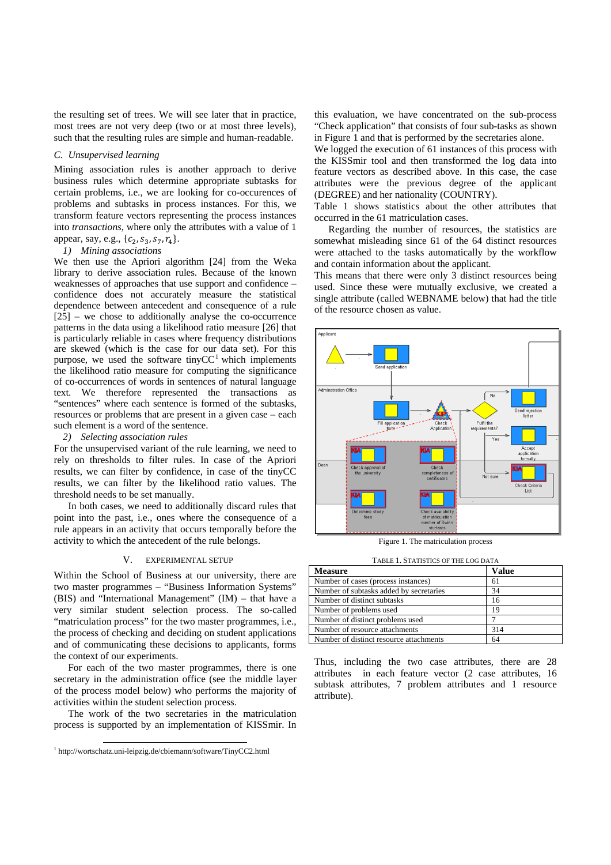the resulting set of trees. We will see later that in practice, most trees are not very deep (two or at most three levels), such that the resulting rules are simple and human-readable.

# *C. Unsupervised learning*

Mining association rules is another approach to derive business rules which determine appropriate subtasks for certain problems, i.e., we are looking for co-occurences of problems and subtasks in process instances. For this, we transform feature vectors representing the process instances into *transactions*, where only the attributes with a value of 1 appear, say, e.g.,  $\{c_2, s_3, s_7, r_4\}.$ 

## *1) Mining associations*

We then use the Apriori algorithm [24] from the Weka library to derive association rules. Because of the known weaknesses of approaches that use support and confidence – confidence does not accurately measure the statistical dependence between antecedent and consequence of a rule [25] – we chose to additionally analyse the co-occurrence patterns in the data using a likelihood ratio measure [26] that is particularly reliable in cases where frequency distributions are skewed (which is the case for our data set). For this purpose, we used the software tiny  $CC<sup>1</sup>$  which implements the likelihood ratio measure for computing the significance of co-occurrences of words in sentences of natural language text. We therefore represented the transactions as "sentences" where each sentence is formed of the subtasks, resources or problems that are present in a given case – each such element is a word of the sentence.

#### *2) Selecting association rules*

For the unsupervised variant of the rule learning, we need to rely on thresholds to filter rules. In case of the Apriori results, we can filter by confidence, in case of the tinyCC results, we can filter by the likelihood ratio values. The threshold needs to be set manually.

In both cases, we need to additionally discard rules that point into the past, i.e., ones where the consequence of a rule appears in an activity that occurs temporally before the activity to which the antecedent of the rule belongs.

## V. EXPERIMENTAL SETUP

Within the School of Business at our university, there are two master programmes – "Business Information Systems" (BIS) and "International Management" (IM) – that have a very similar student selection process. The so-called "matriculation process" for the two master programmes, i.e., the process of checking and deciding on student applications and of communicating these decisions to applicants, forms the context of our experiments.

For each of the two master programmes, there is one secretary in the administration office (see the middle layer of the process model below) who performs the majority of activities within the student selection process.

The work of the two secretaries in the matriculation process is supported by an implementation of KISSmir. In

this evaluation, we have concentrated on the sub-process "Check application" that consists of four sub-tasks as shown in Figure 1 and that is performed by the secretaries alone.

We logged the execution of 61 instances of this process with the KISSmir tool and then transformed the log data into feature vectors as described above. In this case, the case attributes were the previous degree of the applicant (DEGREE) and her nationality (COUNTRY).

Table 1 shows statistics about the other attributes that occurred in the 61 matriculation cases.

Regarding the number of resources, the statistics are somewhat misleading since 61 of the 64 distinct resources were attached to the tasks automatically by the workflow and contain information about the applicant.

This means that there were only 3 distinct resources being used. Since these were mutually exclusive, we created a single attribute (called WEBNAME below) that had the title of the resource chosen as value.



Figure 1. The matriculation process

|  |  | TABLE 1. STATISTICS OF THE LOG DATA |
|--|--|-------------------------------------|
|--|--|-------------------------------------|

| <b>Measure</b>                          | Value |
|-----------------------------------------|-------|
| Number of cases (process instances)     | 61    |
| Number of subtasks added by secretaries | 34    |
| Number of distinct subtasks             | 16    |
| Number of problems used                 | 19    |
| Number of distinct problems used        |       |
| Number of resource attachments          | 314   |
| Number of distinct resource attachments |       |

Thus, including the two case attributes, there are 28 attributes in each feature vector (2 case attributes, 16 subtask attributes, 7 problem attributes and 1 resource attribute).

 <sup>1</sup> http://wortschatz.uni-leipzig.de/cbiemann/software/TinyCC2.html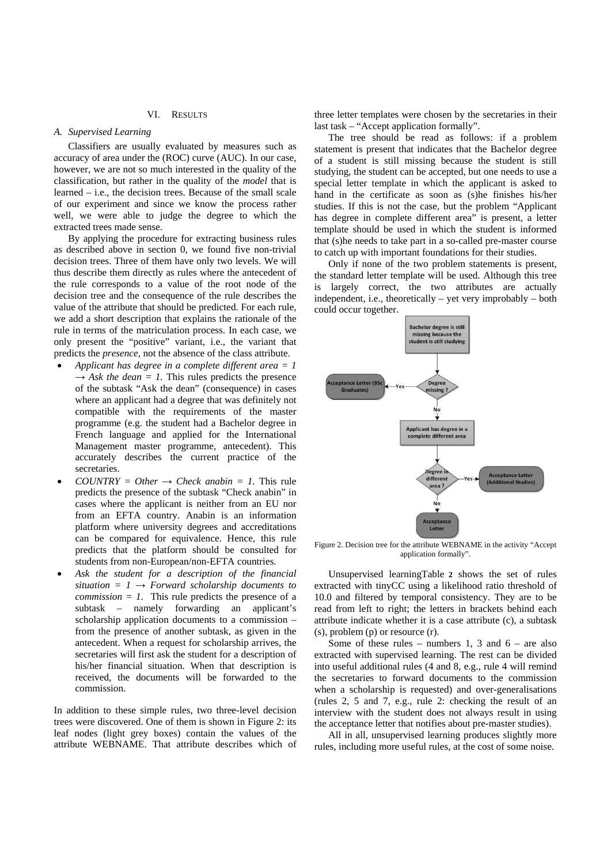### VI. RESULTS

# *A. Supervised Learning*

Classifiers are usually evaluated by measures such as accuracy of area under the (ROC) curve (AUC). In our case, however, we are not so much interested in the quality of the classification, but rather in the quality of the *model* that is learned – i.e., the decision trees. Because of the small scale of our experiment and since we know the process rather well, we were able to judge the degree to which the extracted trees made sense.

By applying the procedure for extracting business rules as described above in section 0, we found five non-trivial decision trees. Three of them have only two levels. We will thus describe them directly as rules where the antecedent of the rule corresponds to a value of the root node of the decision tree and the consequence of the rule describes the value of the attribute that should be predicted. For each rule, we add a short description that explains the rationale of the rule in terms of the matriculation process. In each case, we only present the "positive" variant, i.e., the variant that predicts the *presence*, not the absence of the class attribute.

- *Applicant has degree in a complete different area = 1*   $\rightarrow$  *Ask the dean* = *1*. This rules predicts the presence of the subtask "Ask the dean" (consequence) in cases where an applicant had a degree that was definitely not compatible with the requirements of the master programme (e.g. the student had a Bachelor degree in French language and applied for the International Management master programme, antecedent). This accurately describes the current practice of the secretaries.
- $COUNTRY = Other \rightarrow Check$  anabin = 1. This rule predicts the presence of the subtask "Check anabin" in cases where the applicant is neither from an EU nor from an EFTA country. Anabin is an information platform where university degrees and accreditations can be compared for equivalence. Hence, this rule predicts that the platform should be consulted for students from non-European/non-EFTA countries.
- *Ask the student for a description of the financial*   $situation = 1 \rightarrow Forward solarship documents to$ *commission = 1.* This rule predicts the presence of a subtask – namely forwarding an applicant's scholarship application documents to a commission – from the presence of another subtask, as given in the antecedent. When a request for scholarship arrives, the secretaries will first ask the student for a description of his/her financial situation. When that description is received, the documents will be forwarded to the commission.

In addition to these simple rules, two three-level decision trees were discovered. One of them is shown in Figure 2: its leaf nodes (light grey boxes) contain the values of the attribute WEBNAME. That attribute describes which of

three letter templates were chosen by the secretaries in their last task – "Accept application formally".

The tree should be read as follows: if a problem statement is present that indicates that the Bachelor degree of a student is still missing because the student is still studying, the student can be accepted, but one needs to use a special letter template in which the applicant is asked to hand in the certificate as soon as (s)he finishes his/her studies. If this is not the case, but the problem "Applicant has degree in complete different area" is present, a letter template should be used in which the student is informed that (s)he needs to take part in a so-called pre-master course to catch up with important foundations for their studies.

Only if none of the two problem statements is present, the standard letter template will be used. Although this tree is largely correct, the two attributes are actually independent, i.e., theoretically – yet very improbably – both could occur together.



Figure 2. Decision tree for the attribute WEBNAME in the activity "Accept application formally".

Unsupervised learningTable **2** shows the set of rules extracted with tinyCC using a likelihood ratio threshold of 10.0 and filtered by temporal consistency. They are to be read from left to right; the letters in brackets behind each attribute indicate whether it is a case attribute (c), a subtask (s), problem (p) or resource (r).

Some of these rules – numbers 1, 3 and  $6$  – are also extracted with supervised learning. The rest can be divided into useful additional rules (4 and 8, e.g., rule 4 will remind the secretaries to forward documents to the commission when a scholarship is requested) and over-generalisations (rules 2, 5 and 7, e.g., rule 2: checking the result of an interview with the student does not always result in using the acceptance letter that notifies about pre-master studies).

All in all, unsupervised learning produces slightly more rules, including more useful rules, at the cost of some noise.